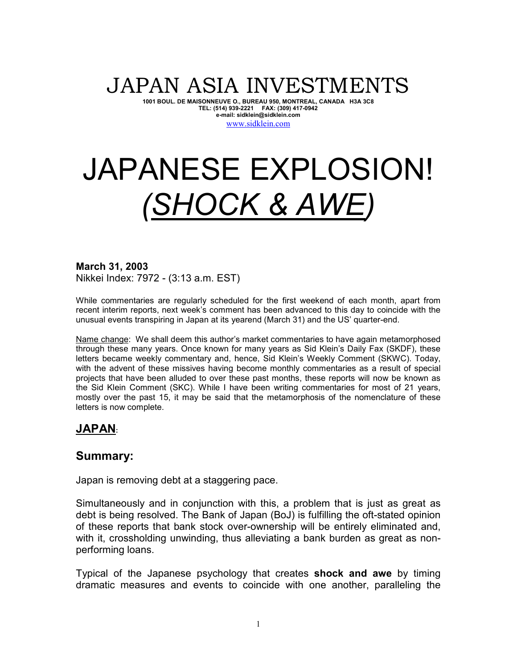# JAPAN ASIA INVESTMENTS

**1001 BOUL. DE MAISONNEUVE O., BUREAU 950, MONTREAL, CANADA H3A 3C8 TEL: (514) 939-2221 FAX: (309) 417-0942 e-mail: sidklein@sidklein.com** 

#### www.sidklein.com

# JAPANESE EXPLOSION! *(SHOCK & AWE)*

**March 31, 2003**  Nikkei Index: 7972 - (3:13 a.m. EST)

While commentaries are regularly scheduled for the first weekend of each month, apart from recent interim reports, next week's comment has been advanced to this day to coincide with the unusual events transpiring in Japan at its yearend (March 31) and the US' quarter-end.

Name change: We shall deem this author's market commentaries to have again metamorphosed through these many years. Once known for many years as Sid Klein's Daily Fax (SKDF), these letters became weekly commentary and, hence, Sid Klein's Weekly Comment (SKWC). Today, with the advent of these missives having become monthly commentaries as a result of special projects that have been alluded to over these past months, these reports will now be known as the Sid Klein Comment (SKC). While I have been writing commentaries for most of 21 years, mostly over the past 15, it may be said that the metamorphosis of the nomenclature of these letters is now complete.

# **JAPAN:**

# **Summary:**

Japan is removing debt at a staggering pace.

Simultaneously and in conjunction with this, a problem that is just as great as debt is being resolved. The Bank of Japan (BoJ) is fulfilling the oft-stated opinion of these reports that bank stock over-ownership will be entirely eliminated and, with it, crossholding unwinding, thus alleviating a bank burden as great as nonperforming loans.

Typical of the Japanese psychology that creates **shock and awe** by timing dramatic measures and events to coincide with one another, paralleling the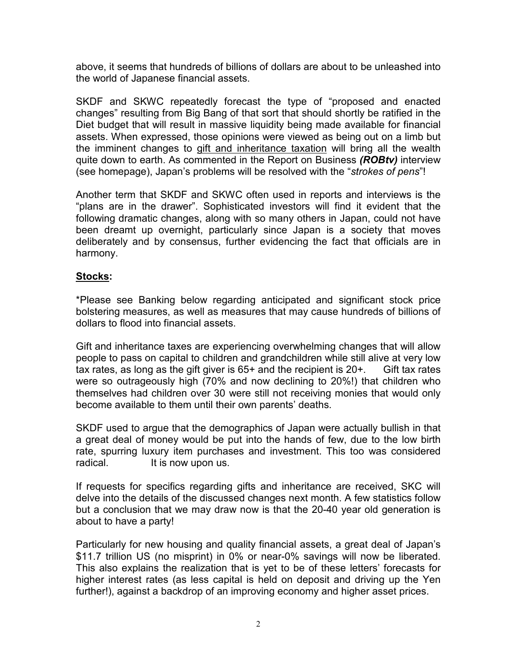above, it seems that hundreds of billions of dollars are about to be unleashed into the world of Japanese financial assets.

SKDF and SKWC repeatedly forecast the type of "proposed and enacted changes" resulting from Big Bang of that sort that should shortly be ratified in the Diet budget that will result in massive liquidity being made available for financial assets. When expressed, those opinions were viewed as being out on a limb but the imminent changes to gift and inheritance taxation will bring all the wealth quite down to earth. As commented in the Report on Business *(ROBtv)* interview (see homepage), Japan's problems will be resolved with the "*strokes of pens*"!

Another term that SKDF and SKWC often used in reports and interviews is the "plans are in the drawer". Sophisticated investors will find it evident that the following dramatic changes, along with so many others in Japan, could not have been dreamt up overnight, particularly since Japan is a society that moves deliberately and by consensus, further evidencing the fact that officials are in harmony.

#### **Stocks:**

\*Please see Banking below regarding anticipated and significant stock price bolstering measures, as well as measures that may cause hundreds of billions of dollars to flood into financial assets.

Gift and inheritance taxes are experiencing overwhelming changes that will allow people to pass on capital to children and grandchildren while still alive at very low tax rates, as long as the gift giver is  $65+$  and the recipient is  $20+$ . Gift tax rates were so outrageously high (70% and now declining to 20%!) that children who themselves had children over 30 were still not receiving monies that would only become available to them until their own parents' deaths.

SKDF used to argue that the demographics of Japan were actually bullish in that a great deal of money would be put into the hands of few, due to the low birth rate, spurring luxury item purchases and investment. This too was considered radical. It is now upon us.

If requests for specifics regarding gifts and inheritance are received, SKC will delve into the details of the discussed changes next month. A few statistics follow but a conclusion that we may draw now is that the 20-40 year old generation is about to have a party!

Particularly for new housing and quality financial assets, a great deal of Japan's \$11.7 trillion US (no misprint) in 0% or near-0% savings will now be liberated. This also explains the realization that is yet to be of these letters' forecasts for higher interest rates (as less capital is held on deposit and driving up the Yen further!), against a backdrop of an improving economy and higher asset prices.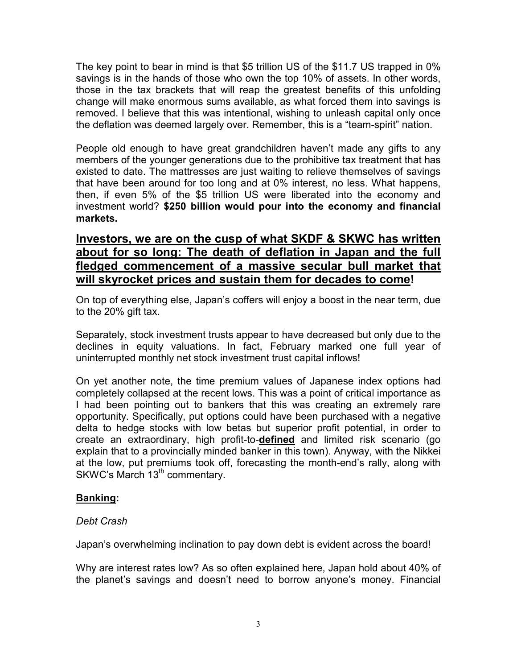The key point to bear in mind is that \$5 trillion US of the \$11.7 US trapped in 0% savings is in the hands of those who own the top 10% of assets. In other words, those in the tax brackets that will reap the greatest benefits of this unfolding change will make enormous sums available, as what forced them into savings is removed. I believe that this was intentional, wishing to unleash capital only once the deflation was deemed largely over. Remember, this is a "team-spirit" nation.

People old enough to have great grandchildren haven't made any gifts to any members of the younger generations due to the prohibitive tax treatment that has existed to date. The mattresses are just waiting to relieve themselves of savings that have been around for too long and at 0% interest, no less. What happens, then, if even 5% of the \$5 trillion US were liberated into the economy and investment world? **\$250 billion would pour into the economy and financial markets.** 

# **Investors, we are on the cusp of what SKDF & SKWC has written about for so long: The death of deflation in Japan and the full fledged commencement of a massive secular bull market that will skyrocket prices and sustain them for decades to come!**

On top of everything else, Japan's coffers will enjoy a boost in the near term, due to the 20% gift tax.

Separately, stock investment trusts appear to have decreased but only due to the declines in equity valuations. In fact, February marked one full year of uninterrupted monthly net stock investment trust capital inflows!

On yet another note, the time premium values of Japanese index options had completely collapsed at the recent lows. This was a point of critical importance as I had been pointing out to bankers that this was creating an extremely rare opportunity. Specifically, put options could have been purchased with a negative delta to hedge stocks with low betas but superior profit potential, in order to create an extraordinary, high profit-to-**defined** and limited risk scenario (go explain that to a provincially minded banker in this town). Anyway, with the Nikkei at the low, put premiums took off, forecasting the month-end's rally, along with SKWC's March 13<sup>th</sup> commentary.

## **Banking:**

## *Debt Crash*

Japan's overwhelming inclination to pay down debt is evident across the board!

Why are interest rates low? As so often explained here, Japan hold about 40% of the planet's savings and doesn't need to borrow anyone's money. Financial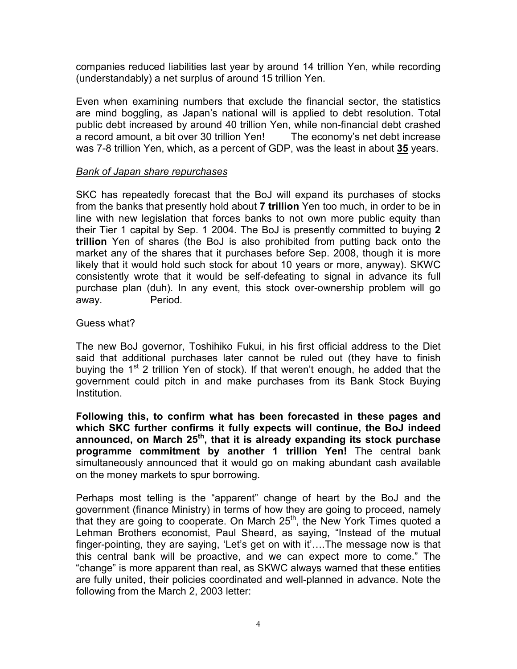companies reduced liabilities last year by around 14 trillion Yen, while recording (understandably) a net surplus of around 15 trillion Yen.

Even when examining numbers that exclude the financial sector, the statistics are mind boggling, as Japan's national will is applied to debt resolution. Total public debt increased by around 40 trillion Yen, while non-financial debt crashed a record amount, a bit over 30 trillion Yen! The economy's net debt increase was 7-8 trillion Yen, which, as a percent of GDP, was the least in about **35** years.

#### *Bank of Japan share repurchases*

SKC has repeatedly forecast that the BoJ will expand its purchases of stocks from the banks that presently hold about **7 trillion** Yen too much, in order to be in line with new legislation that forces banks to not own more public equity than their Tier 1 capital by Sep. 1 2004. The BoJ is presently committed to buying **2 trillion** Yen of shares (the BoJ is also prohibited from putting back onto the market any of the shares that it purchases before Sep. 2008, though it is more likely that it would hold such stock for about 10 years or more, anyway). SKWC consistently wrote that it would be self-defeating to signal in advance its full purchase plan (duh). In any event, this stock over-ownership problem will go away. Period.

#### Guess what?

The new BoJ governor, Toshihiko Fukui, in his first official address to the Diet said that additional purchases later cannot be ruled out (they have to finish buying the  $1<sup>st</sup>$  2 trillion Yen of stock). If that weren't enough, he added that the government could pitch in and make purchases from its Bank Stock Buying Institution.

**Following this, to confirm what has been forecasted in these pages and which SKC further confirms it fully expects will continue, the BoJ indeed announced, on March 25th, that it is already expanding its stock purchase programme commitment by another 1 trillion Yen!** The central bank simultaneously announced that it would go on making abundant cash available on the money markets to spur borrowing.

Perhaps most telling is the "apparent" change of heart by the BoJ and the government (finance Ministry) in terms of how they are going to proceed, namely that they are going to cooperate. On March 25<sup>th</sup>, the New York Times quoted a Lehman Brothers economist, Paul Sheard, as saying, "Instead of the mutual finger-pointing, they are saying, 'Let's get on with it'….The message now is that this central bank will be proactive, and we can expect more to come." The "change" is more apparent than real, as SKWC always warned that these entities are fully united, their policies coordinated and well-planned in advance. Note the following from the March 2, 2003 letter: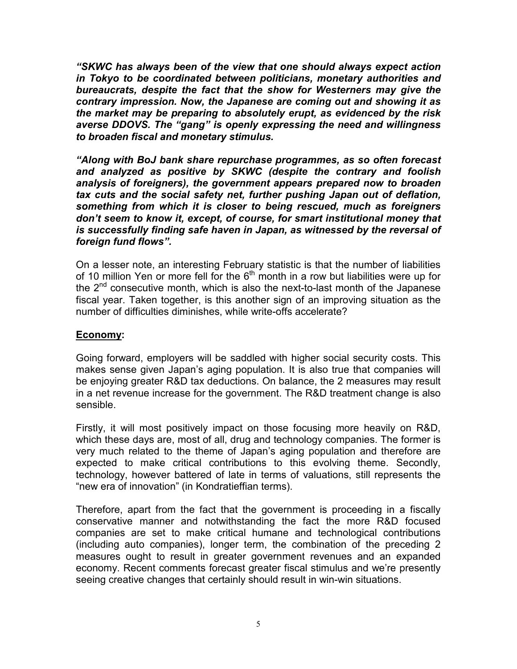*"SKWC has always been of the view that one should always expect action in Tokyo to be coordinated between politicians, monetary authorities and bureaucrats, despite the fact that the show for Westerners may give the contrary impression. Now, the Japanese are coming out and showing it as the market may be preparing to absolutely erupt, as evidenced by the risk averse DDOVS. The "gang" is openly expressing the need and willingness to broaden fiscal and monetary stimulus.* 

*"Along with BoJ bank share repurchase programmes, as so often forecast and analyzed as positive by SKWC (despite the contrary and foolish analysis of foreigners), the government appears prepared now to broaden tax cuts and the social safety net, further pushing Japan out of deflation, something from which it is closer to being rescued, much as foreigners don't seem to know it, except, of course, for smart institutional money that is successfully finding safe haven in Japan, as witnessed by the reversal of foreign fund flows".* 

On a lesser note, an interesting February statistic is that the number of liabilities of 10 million Yen or more fell for the  $6<sup>th</sup>$  month in a row but liabilities were up for the  $2^{nd}$  consecutive month, which is also the next-to-last month of the Japanese fiscal year. Taken together, is this another sign of an improving situation as the number of difficulties diminishes, while write-offs accelerate?

#### **Economy:**

Going forward, employers will be saddled with higher social security costs. This makes sense given Japan's aging population. It is also true that companies will be enjoying greater R&D tax deductions. On balance, the 2 measures may result in a net revenue increase for the government. The R&D treatment change is also sensible.

Firstly, it will most positively impact on those focusing more heavily on R&D, which these days are, most of all, drug and technology companies. The former is very much related to the theme of Japan's aging population and therefore are expected to make critical contributions to this evolving theme. Secondly, technology, however battered of late in terms of valuations, still represents the "new era of innovation" (in Kondratieffian terms).

Therefore, apart from the fact that the government is proceeding in a fiscally conservative manner and notwithstanding the fact the more R&D focused companies are set to make critical humane and technological contributions (including auto companies), longer term, the combination of the preceding 2 measures ought to result in greater government revenues and an expanded economy. Recent comments forecast greater fiscal stimulus and we're presently seeing creative changes that certainly should result in win-win situations.